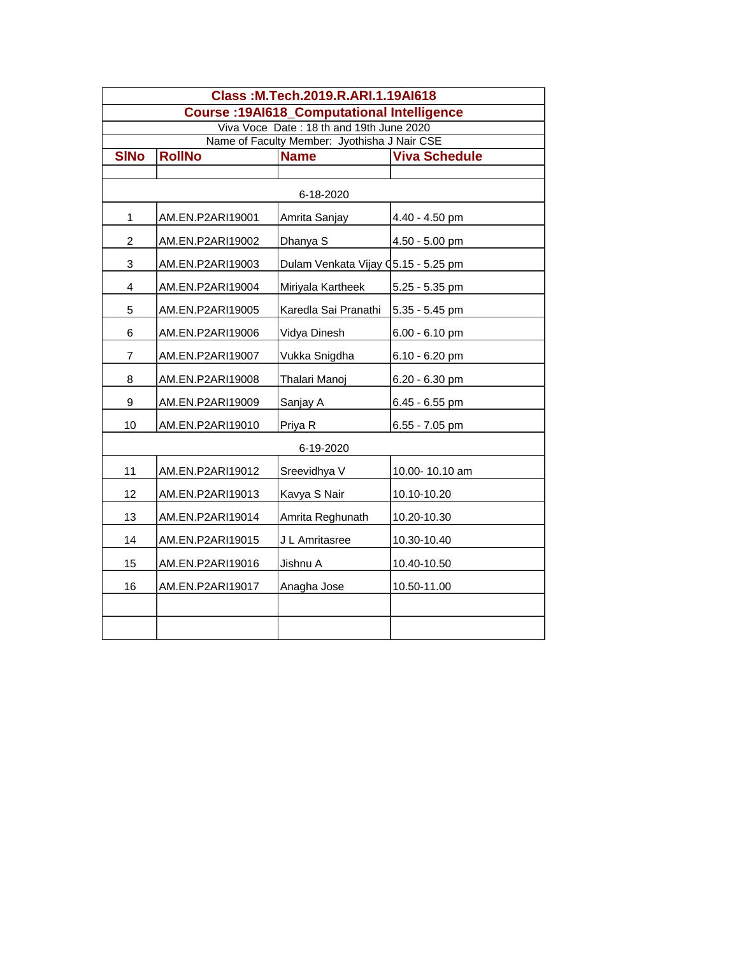| Class: M.Tech.2019.R.ARI.1.19Al618                                                       |                  |                                     |                      |  |  |  |  |
|------------------------------------------------------------------------------------------|------------------|-------------------------------------|----------------------|--|--|--|--|
| <b>Course: 19Al618_Computational Intelligence</b>                                        |                  |                                     |                      |  |  |  |  |
| Viva Voce Date: 18 th and 19th June 2020<br>Name of Faculty Member: Jyothisha J Nair CSE |                  |                                     |                      |  |  |  |  |
| <b>SINo</b>                                                                              | <b>RollNo</b>    | <b>Name</b>                         | <b>Viva Schedule</b> |  |  |  |  |
|                                                                                          |                  |                                     |                      |  |  |  |  |
| 6-18-2020                                                                                |                  |                                     |                      |  |  |  |  |
| 1                                                                                        | AM.EN.P2ARI19001 | Amrita Sanjay                       | 4.40 - 4.50 pm       |  |  |  |  |
| $\overline{c}$                                                                           | AM.EN.P2ARI19002 | Dhanya S                            | 4.50 - 5.00 pm       |  |  |  |  |
| 3                                                                                        | AM.EN.P2ARI19003 | Dulam Venkata Vijay Q5.15 - 5.25 pm |                      |  |  |  |  |
| 4                                                                                        | AM.EN.P2ARI19004 | Miriyala Kartheek                   | 5.25 - 5.35 pm       |  |  |  |  |
| 5                                                                                        | AM.EN.P2ARI19005 | Karedla Sai Pranathi                | 5.35 - 5.45 pm       |  |  |  |  |
| 6                                                                                        | AM.EN.P2ARI19006 | Vidya Dinesh                        | 6.00 - 6.10 pm       |  |  |  |  |
| $\overline{7}$                                                                           | AM.EN.P2ARI19007 | Vukka Snigdha                       | 6.10 - 6.20 pm       |  |  |  |  |
| 8                                                                                        | AM.EN.P2ARI19008 | Thalari Manoj                       | 6.20 - 6.30 pm       |  |  |  |  |
| 9                                                                                        | AM.EN.P2ARI19009 | Sanjay A                            | 6.45 - 6.55 pm       |  |  |  |  |
| 10                                                                                       | AM.EN.P2ARI19010 | Priya R                             | 6.55 - 7.05 pm       |  |  |  |  |
| 6-19-2020                                                                                |                  |                                     |                      |  |  |  |  |
| 11                                                                                       | AM.EN.P2ARI19012 | Sreevidhya V                        | 10.00-10.10 am       |  |  |  |  |
| 12                                                                                       | AM.EN.P2ARI19013 | Kavya S Nair                        | 10.10-10.20          |  |  |  |  |
| 13                                                                                       | AM.EN.P2ARI19014 | Amrita Reghunath                    | 10.20-10.30          |  |  |  |  |
| 14                                                                                       | AM.EN.P2ARI19015 | J L Amritasree                      | 10.30-10.40          |  |  |  |  |
| 15                                                                                       | AM.EN.P2ARI19016 | Jishnu A                            | 10.40-10.50          |  |  |  |  |
| 16                                                                                       | AM.EN.P2ARI19017 | Anagha Jose                         | 10.50-11.00          |  |  |  |  |
|                                                                                          |                  |                                     |                      |  |  |  |  |
|                                                                                          |                  |                                     |                      |  |  |  |  |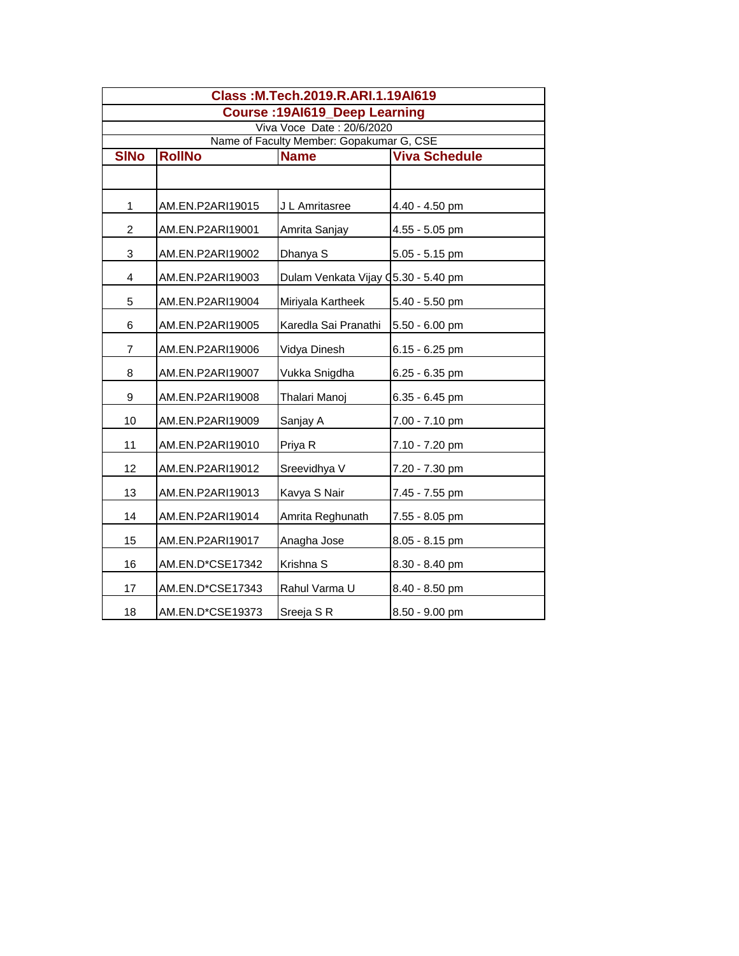| Class: M.Tech.2019.R.ARI.1.19Al619       |                  |                                     |                      |  |  |  |
|------------------------------------------|------------------|-------------------------------------|----------------------|--|--|--|
| <b>Course: 19Al619 Deep Learning</b>     |                  |                                     |                      |  |  |  |
| Viva Voce Date: 20/6/2020                |                  |                                     |                      |  |  |  |
| Name of Faculty Member: Gopakumar G, CSE |                  |                                     |                      |  |  |  |
| <b>SINo</b>                              | <b>RollNo</b>    | <b>Name</b>                         | <b>Viva Schedule</b> |  |  |  |
|                                          |                  |                                     |                      |  |  |  |
| 1                                        | AM.EN.P2ARI19015 | J L Amritasree                      | 4.40 - 4.50 pm       |  |  |  |
| $\overline{c}$                           | AM.EN.P2ARI19001 | Amrita Sanjay                       | 4.55 - 5.05 pm       |  |  |  |
| 3                                        | AM.EN.P2ARI19002 | Dhanya S                            | 5.05 - 5.15 pm       |  |  |  |
| 4                                        | AM.EN.P2ARI19003 | Dulam Venkata Vijay Q5.30 - 5.40 pm |                      |  |  |  |
| 5                                        | AM.EN.P2ARI19004 | Miriyala Kartheek                   | 5.40 - 5.50 pm       |  |  |  |
| 6                                        | AM.EN.P2ARI19005 | Karedla Sai Pranathi                | $5.50 - 6.00$ pm     |  |  |  |
| 7                                        | AM.EN.P2ARI19006 | Vidya Dinesh                        | $6.15 - 6.25$ pm     |  |  |  |
| 8                                        | AM.EN.P2ARI19007 | Vukka Snigdha                       | 6.25 - 6.35 pm       |  |  |  |
| 9                                        | AM.EN.P2ARI19008 | Thalari Manoj                       | 6.35 - 6.45 pm       |  |  |  |
| 10                                       | AM.EN.P2ARI19009 | Sanjay A                            | 7.00 - 7.10 pm       |  |  |  |
| 11                                       | AM.EN.P2ARI19010 | Priya R                             | 7.10 - 7.20 pm       |  |  |  |
| 12                                       | AM.EN.P2ARI19012 | Sreevidhya V                        | 7.20 - 7.30 pm       |  |  |  |
| 13                                       | AM.EN.P2ARI19013 | Kavya S Nair                        | 7.45 - 7.55 pm       |  |  |  |
| 14                                       | AM.EN.P2ARI19014 | Amrita Reghunath                    | 7.55 - 8.05 pm       |  |  |  |
| 15                                       | AM.EN.P2ARI19017 | Anagha Jose                         | 8.05 - 8.15 pm       |  |  |  |
| 16                                       | AM.EN.D*CSE17342 | Krishna S                           | 8.30 - 8.40 pm       |  |  |  |
| 17                                       | AM.EN.D*CSE17343 | Rahul Varma U                       | 8.40 - 8.50 pm       |  |  |  |
| 18                                       | AM.EN.D*CSE19373 | Sreeja S R                          | 8.50 - 9.00 pm       |  |  |  |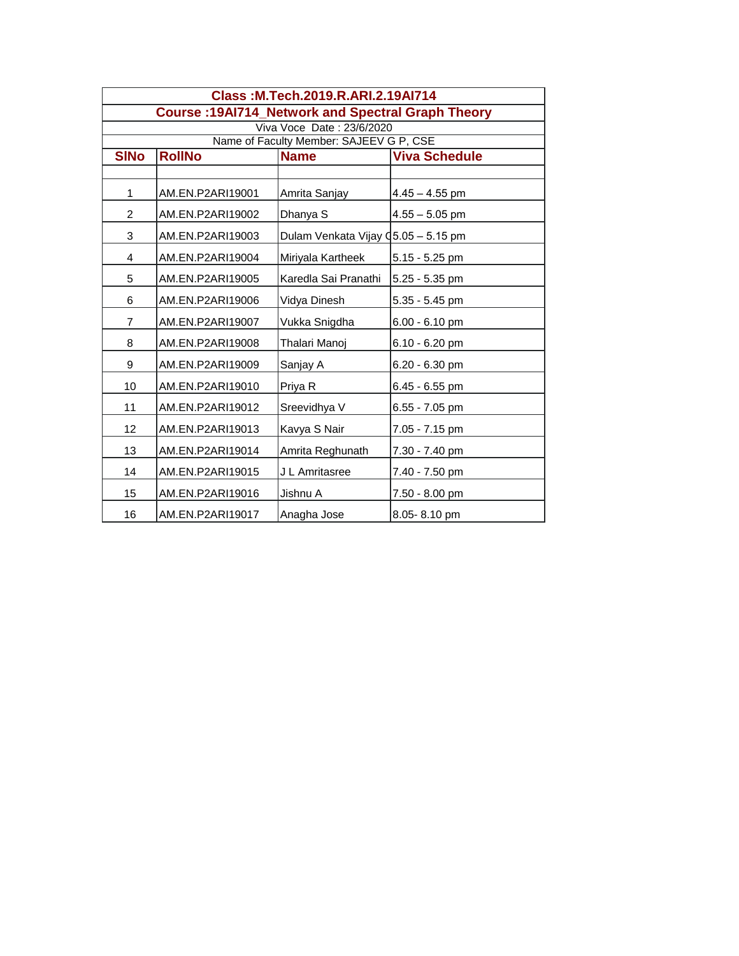| Class: M.Tech.2019.R.ARI.2.19Al714                       |                  |                                     |                      |  |  |  |
|----------------------------------------------------------|------------------|-------------------------------------|----------------------|--|--|--|
| <b>Course: 19Al714_Network and Spectral Graph Theory</b> |                  |                                     |                      |  |  |  |
| Viva Voce Date: 23/6/2020                                |                  |                                     |                      |  |  |  |
| Name of Faculty Member: SAJEEV G P, CSE                  |                  |                                     |                      |  |  |  |
| <b>SINO</b>                                              | <b>RollNo</b>    | <b>Name</b>                         | <b>Viva Schedule</b> |  |  |  |
|                                                          |                  |                                     |                      |  |  |  |
| $\mathbf{1}$                                             | AM.EN.P2ARI19001 | Amrita Sanjay                       | $4.45 - 4.55$ pm     |  |  |  |
| $\overline{c}$                                           | AM.EN.P2ARI19002 | Dhanya S                            | $4.55 - 5.05$ pm     |  |  |  |
| 3                                                        | AM.EN.P2ARI19003 | Dulam Venkata Vijay Q5.05 - 5.15 pm |                      |  |  |  |
| 4                                                        | AM.EN.P2ARI19004 | Miriyala Kartheek                   | $5.15 - 5.25$ pm     |  |  |  |
| 5                                                        | AM.EN.P2ARI19005 | Karedla Sai Pranathi                | 5.25 - 5.35 pm       |  |  |  |
| 6                                                        | AM.EN.P2ARI19006 | Vidya Dinesh                        | 5.35 - 5.45 pm       |  |  |  |
| $\overline{7}$                                           | AM.EN.P2ARI19007 | Vukka Snigdha                       | $6.00 - 6.10$ pm     |  |  |  |
| 8                                                        | AM.EN.P2ARI19008 | Thalari Manoj                       | $6.10 - 6.20$ pm     |  |  |  |
| 9                                                        | AM.EN.P2ARI19009 | Sanjay A                            | 6.20 - 6.30 pm       |  |  |  |
| 10                                                       | AM.EN.P2ARI19010 | Priya R                             | 6.45 - 6.55 pm       |  |  |  |
| 11                                                       | AM.EN.P2ARI19012 | Sreevidhya V                        | $6.55 - 7.05$ pm     |  |  |  |
| 12                                                       | AM.EN.P2ARI19013 | Kavya S Nair                        | 7.05 - 7.15 pm       |  |  |  |
| 13                                                       | AM.EN.P2ARI19014 | Amrita Reghunath                    | 7.30 - 7.40 pm       |  |  |  |
| 14                                                       | AM.EN.P2ARI19015 | J L Amritasree                      | 7.40 - 7.50 pm       |  |  |  |
| 15                                                       | AM.EN.P2ARI19016 | Jishnu A                            | 7.50 - 8.00 pm       |  |  |  |
| 16                                                       | AM.EN.P2ARI19017 | Anagha Jose                         | 8.05-8.10 pm         |  |  |  |